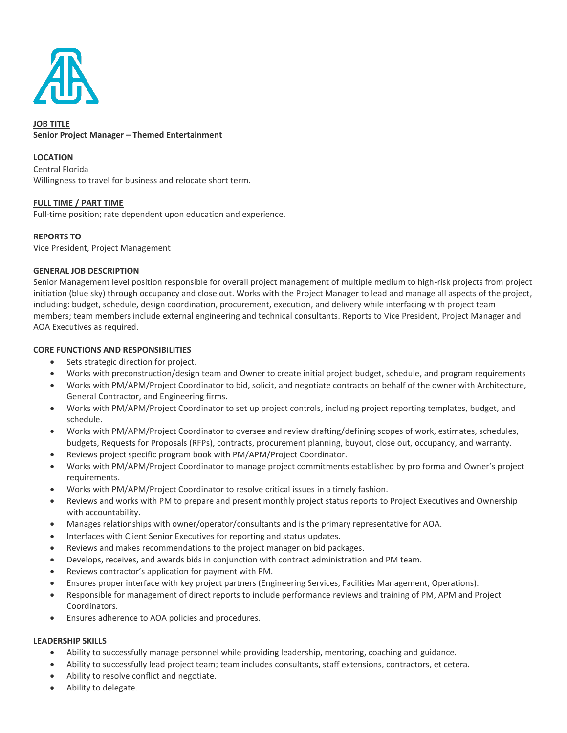

# **JOB TITLE Senior Project Manager – Themed Entertainment**

#### **LOCATION**

Central Florida Willingness to travel for business and relocate short term.

## **FULL TIME / PART TIME**

Full-time position; rate dependent upon education and experience.

## **REPORTS TO**

Vice President, Project Management

#### **GENERAL JOB DESCRIPTION**

Senior Management level position responsible for overall project management of multiple medium to high-risk projects from project initiation (blue sky) through occupancy and close out. Works with the Project Manager to lead and manage all aspects of the project, including: budget, schedule, design coordination, procurement, execution, and delivery while interfacing with project team members; team members include external engineering and technical consultants. Reports to Vice President, Project Manager and AOA Executives as required.

#### **CORE FUNCTIONS AND RESPONSIBILITIES**

- Sets strategic direction for project.
- Works with preconstruction/design team and Owner to create initial project budget, schedule, and program requirements
- Works with PM/APM/Project Coordinator to bid, solicit, and negotiate contracts on behalf of the owner with Architecture, General Contractor, and Engineering firms.
- Works with PM/APM/Project Coordinator to set up project controls, including project reporting templates, budget, and schedule.
- Works with PM/APM/Project Coordinator to oversee and review drafting/defining scopes of work, estimates, schedules, budgets, Requests for Proposals (RFPs), contracts, procurement planning, buyout, close out, occupancy, and warranty.
- Reviews project specific program book with PM/APM/Project Coordinator.
- Works with PM/APM/Project Coordinator to manage project commitments established by pro forma and Owner's project requirements.
- Works with PM/APM/Project Coordinator to resolve critical issues in a timely fashion.
- Reviews and works with PM to prepare and present monthly project status reports to Project Executives and Ownership with accountability.
- Manages relationships with owner/operator/consultants and is the primary representative for AOA.
- Interfaces with Client Senior Executives for reporting and status updates.
- Reviews and makes recommendations to the project manager on bid packages.
- Develops, receives, and awards bids in conjunction with contract administration and PM team.
- Reviews contractor's application for payment with PM.
- Ensures proper interface with key project partners (Engineering Services, Facilities Management, Operations).
- Responsible for management of direct reports to include performance reviews and training of PM, APM and Project Coordinators.
- Ensures adherence to AOA policies and procedures.

#### **LEADERSHIP SKILLS**

- Ability to successfully manage personnel while providing leadership, mentoring, coaching and guidance.
- Ability to successfully lead project team; team includes consultants, staff extensions, contractors, et cetera.
- Ability to resolve conflict and negotiate.
- Ability to delegate.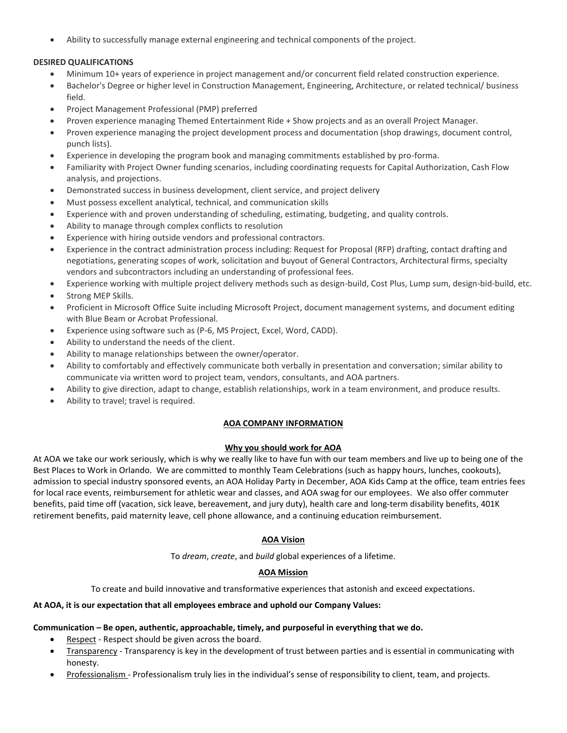• Ability to successfully manage external engineering and technical components of the project.

### **DESIRED QUALIFICATIONS**

- Minimum 10+ years of experience in project management and/or concurrent field related construction experience.
- Bachelor's Degree or higher level in Construction Management, Engineering, Architecture, or related technical/ business field.
- Project Management Professional (PMP) preferred
- Proven experience managing Themed Entertainment Ride + Show projects and as an overall Project Manager.
- Proven experience managing the project development process and documentation (shop drawings, document control, punch lists).
- Experience in developing the program book and managing commitments established by pro-forma.
- Familiarity with Project Owner funding scenarios, including coordinating requests for Capital Authorization, Cash Flow analysis, and projections.
- Demonstrated success in business development, client service, and project delivery
- Must possess excellent analytical, technical, and communication skills
- Experience with and proven understanding of scheduling, estimating, budgeting, and quality controls.
- Ability to manage through complex conflicts to resolution
- Experience with hiring outside vendors and professional contractors.
- Experience in the contract administration process including: Request for Proposal (RFP) drafting, contact drafting and negotiations, generating scopes of work, solicitation and buyout of General Contractors, Architectural firms, specialty vendors and subcontractors including an understanding of professional fees.
- Experience working with multiple project delivery methods such as design-build, Cost Plus, Lump sum, design-bid-build, etc.
- Strong MEP Skills.
- Proficient in Microsoft Office Suite including Microsoft Project, document management systems, and document editing with Blue Beam or Acrobat Professional.
- Experience using software such as (P-6, MS Project, Excel, Word, CADD).
- Ability to understand the needs of the client.
- Ability to manage relationships between the owner/operator.
- Ability to comfortably and effectively communicate both verbally in presentation and conversation; similar ability to communicate via written word to project team, vendors, consultants, and AOA partners.
- Ability to give direction, adapt to change, establish relationships, work in a team environment, and produce results.
- Ability to travel; travel is required.

#### **AOA COMPANY INFORMATION**

#### **Why you should work for AOA**

At AOA we take our work seriously, which is why we really like to have fun with our team members and live up to being one of the Best Places to Work in Orlando. We are committed to monthly Team Celebrations (such as happy hours, lunches, cookouts), admission to special industry sponsored events, an AOA Holiday Party in December, AOA Kids Camp at the office, team entries fees for local race events, reimbursement for athletic wear and classes, and AOA swag for our employees. We also offer commuter benefits, paid time off (vacation, sick leave, bereavement, and jury duty), health care and long-term disability benefits, 401K retirement benefits, paid maternity leave, cell phone allowance, and a continuing education reimbursement.

## **AOA Vision**

To *dream*, *create*, and *build* global experiences of a lifetime.

## **AOA Mission**

To create and build innovative and transformative experiences that astonish and exceed expectations.

#### **At AOA, it is our expectation that all employees embrace and uphold our Company Values:**

#### **Communication – Be open, authentic, approachable, timely, and purposeful in everything that we do.**

- Respect Respect should be given across the board.
- Transparency Transparency is key in the development of trust between parties and is essential in communicating with honesty.
- Professionalism Professionalism truly lies in the individual's sense of responsibility to client, team, and projects.